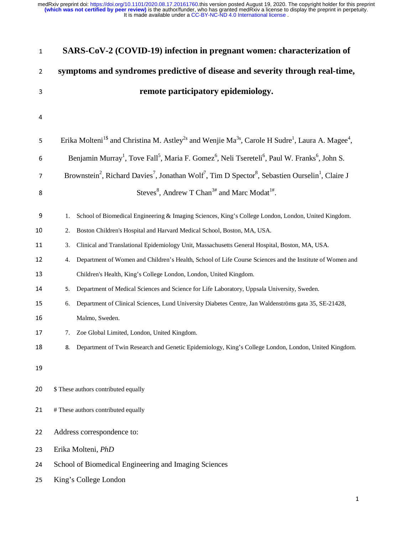| 1              | SARS-CoV-2 (COVID-19) infection in pregnant women: characterization of                                                                                         |
|----------------|----------------------------------------------------------------------------------------------------------------------------------------------------------------|
| $\overline{2}$ | symptoms and syndromes predictive of disease and severity through real-time,                                                                                   |
| 3              | remote participatory epidemiology.                                                                                                                             |
| 4              |                                                                                                                                                                |
| 5              | Erika Molteni <sup>1\$</sup> and Christina M. Astley <sup>2\$</sup> and Wenjie Ma <sup>3\$</sup> , Carole H Sudre <sup>1</sup> , Laura A. Magee <sup>4</sup> , |
| 6              | Benjamin Murray <sup>1</sup> , Tove Fall <sup>5</sup> , Maria F. Gomez <sup>6</sup> , Neli Tsereteli <sup>6</sup> , Paul W. Franks <sup>6</sup> , John S.      |
| $\overline{1}$ | Brownstein <sup>2</sup> , Richard Davies <sup>7</sup> , Jonathan Wolf <sup>7</sup> , Tim D Spector <sup>8</sup> , Sebastien Ourselin <sup>1</sup> , Claire J   |
| 8              | Steves <sup>8</sup> , Andrew T Chan <sup>3#</sup> and Marc Modat <sup>1#</sup> .                                                                               |
| 9              | School of Biomedical Engineering & Imaging Sciences, King's College London, London, United Kingdom.<br>1.                                                      |
| 10             | Boston Children's Hospital and Harvard Medical School, Boston, MA, USA.<br>2.                                                                                  |
| 11             | Clinical and Translational Epidemiology Unit, Massachusetts General Hospital, Boston, MA, USA.<br>3.                                                           |
| 12             | Department of Women and Children's Health, School of Life Course Sciences and the Institute of Women and<br>4.                                                 |
| 13             | Children's Health, King's College London, London, United Kingdom.                                                                                              |
| 14             | Department of Medical Sciences and Science for Life Laboratory, Uppsala University, Sweden.<br>5.                                                              |
| 15             | Department of Clinical Sciences, Lund University Diabetes Centre, Jan Waldenströms gata 35, SE-21428,<br>6.                                                    |
| 16             | Malmo, Sweden.                                                                                                                                                 |
| 17             | Zoe Global Limited, London, United Kingdom.<br>7.                                                                                                              |
| 18             | Department of Twin Research and Genetic Epidemiology, King's College London, London, United Kingdom.                                                           |
| 19             |                                                                                                                                                                |
| 20             | \$ These authors contributed equally                                                                                                                           |
| 21             | # These authors contributed equally                                                                                                                            |
| 22             | Address correspondence to:                                                                                                                                     |
| 23             | Erika Molteni, PhD                                                                                                                                             |
| 24             | School of Biomedical Engineering and Imaging Sciences                                                                                                          |
| 25             | King's College London                                                                                                                                          |
|                |                                                                                                                                                                |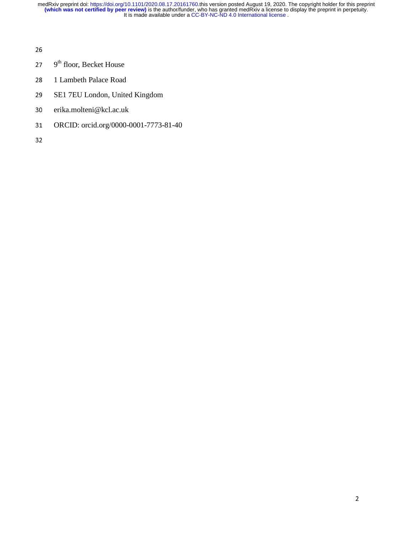- 27  $9<sup>th</sup>$  floor, Becket House
- 28 1 Lambeth Palace Road
- 29 SE1 7EU London, United Kingdom
- 30 erika.molteni@kcl.ac.uk
- 31 ORCID: orcid.org/0000-0001-7773-81-40
- 32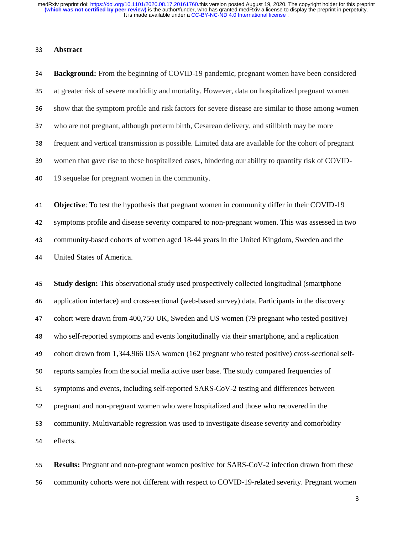### <sup>33</sup>**Abstract**

<sup>34</sup>**Background:** From the beginning of COVID-19 pandemic, pregnant women have been considered <sup>35</sup>at greater risk of severe morbidity and mortality. However, data on hospitalized pregnant women <sup>36</sup>show that the symptom profile and risk factors for severe disease are similar to those among women 37 who are not pregnant, although preterm birth, Cesarean delivery, and stillbirth may be more <sup>38</sup>frequent and vertical transmission is possible. Limited data are available for the cohort of pregnant 39 women that gave rise to these hospitalized cases, hindering our ability to quantify risk of COVID-40 19 sequelae for pregnant women in the community. <sup>41</sup>**Objective**: To test the hypothesis that pregnant women in community differ in their COVID-19 <sup>42</sup>symptoms profile and disease severity compared to non-pregnant women. This was assessed in two 43 community-based cohorts of women aged 18-44 years in the United Kingdom, Sweden and the <sup>44</sup>United States of America. <sup>45</sup>**Study design:** This observational study used prospectively collected longitudinal (smartphone <sup>46</sup>application interface) and cross-sectional (web-based survey) data. Participants in the discovery 47 cohort were drawn from 400,750 UK, Sweden and US women (79 pregnant who tested positive) <sup>48</sup>who self-reported symptoms and events longitudinally via their smartphone, and a replication 49 cohort drawn from 1,344,966 USA women (162 pregnant who tested positive) cross-sectional self-50 reports samples from the social media active user base. The study compared frequencies of 51 symptoms and events, including self-reported SARS-CoV-2 testing and differences between 52 pregnant and non-pregnant women who were hospitalized and those who recovered in the 53 community. Multivariable regression was used to investigate disease severity and comorbidity 54 effects.

<sup>55</sup>**Results:** Pregnant and non-pregnant women positive for SARS-CoV-2 infection drawn from these 56 community cohorts were not different with respect to COVID-19-related severity. Pregnant women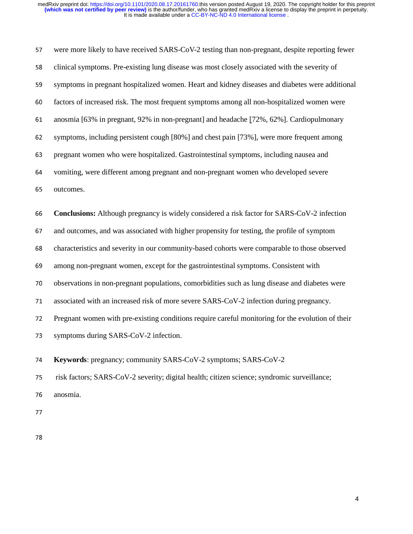| 57 | were more likely to have received SARS-CoV-2 testing than non-pregnant, despite reporting fewer    |
|----|----------------------------------------------------------------------------------------------------|
| 58 | clinical symptoms. Pre-existing lung disease was most closely associated with the severity of      |
| 59 | symptoms in pregnant hospitalized women. Heart and kidney diseases and diabetes were additional    |
| 60 | factors of increased risk. The most frequent symptoms among all non-hospitalized women were        |
| 61 | anosmia [63% in pregnant, 92% in non-pregnant] and headache [72%, 62%]. Cardiopulmonary            |
| 62 | symptoms, including persistent cough [80%] and chest pain [73%], were more frequent among          |
| 63 | pregnant women who were hospitalized. Gastrointestinal symptoms, including nausea and              |
| 64 | vomiting, were different among pregnant and non-pregnant women who developed severe                |
| 65 | outcomes.                                                                                          |
| 66 | <b>Conclusions:</b> Although pregnancy is widely considered a risk factor for SARS-CoV-2 infection |
|    |                                                                                                    |
| 67 | and outcomes, and was associated with higher propensity for testing, the profile of symptom        |
| 68 | characteristics and severity in our community-based cohorts were comparable to those observed      |
| 69 | among non-pregnant women, except for the gastrointestinal symptoms. Consistent with                |
| 70 | observations in non-pregnant populations, comorbidities such as lung disease and diabetes were     |
| 71 | associated with an increased risk of more severe SARS-CoV-2 infection during pregnancy.            |
| 72 | Pregnant women with pre-existing conditions require careful monitoring for the evolution of their  |
| 73 | symptoms during SARS-CoV-2 infection.                                                              |
| 74 | Keywords: pregnancy; community SARS-CoV-2 symptoms; SARS-CoV-2                                     |

76 anosmia.

77

78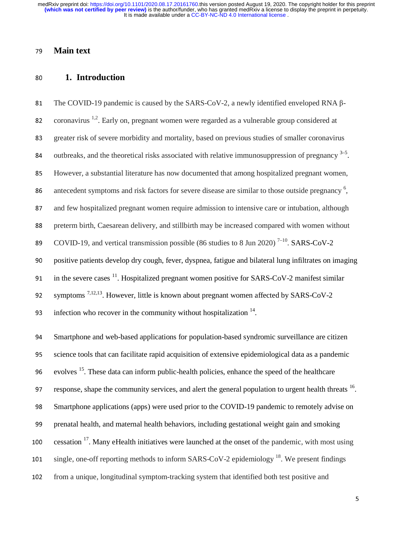# <sup>79</sup>**Main text**

# <sup>80</sup>**1. Introduction**

81 The COVID-19 pandemic is caused by the SARS-CoV-2, a newly identified enveloped RNA β-82. coronavirus  $1,2$ . Early on, pregnant women were regarded as a vulnerable group considered at 83 greater risk of severe morbidity and mortality, based on previous studies of smaller coronavirus 84 outbreaks, and the theoretical risks associated with relative immunosuppression of pregnancy  $3-5$ . <sup>85</sup>However, a substantial literature has now documented that among hospitalized pregnant women, antecedent symptoms and risk factors for severe disease are similar to those outside pregnancy 6 <sup>86</sup>, 87 and few hospitalized pregnant women require admission to intensive care or intubation, although 88 preterm birth, Caesarean delivery, and stillbirth may be increased compared with women without 89 COVID-19, and vertical transmission possible (86 studies to 8 Jun 2020)<sup>7-10</sup> SARS-CoV-2 90 positive patients develop dry cough, fever, dyspnea, fatigue and bilateral lung infiltrates on imaging 91 in the severe cases  $\frac{11}{2}$ . Hospitalized pregnant women positive for SARS-CoV-2 manifest similar 92 symptoms  $7,12,13$ . However, little is known about pregnant women affected by SARS-CoV-2 93 infection who recover in the community without hospitalization  $14$ .

<sup>94</sup>Smartphone and web-based applications for population-based syndromic surveillance are citizen <sup>95</sup>science tools that can facilitate rapid acquisition of extensive epidemiological data as a pandemic 96. evolves  $^{15}$ . These data can inform public-health policies, enhance the speed of the healthcare 97 response, shape the community services, and alert the general population to urgent health threats <sup>16</sup>. <sup>98</sup>Smartphone applications (apps) were used prior to the COVID-19 pandemic to remotely advise on 99 prenatal health, and maternal health behaviors, including gestational weight gain and smoking 100 cessation  $17$ . Many eHealth initiatives were launched at the onset of the pandemic, with most using 101 single, one-off reporting methods to inform SARS-CoV-2 epidemiology  $^{18}$ . We present findings 102 from a unique, longitudinal symptom-tracking system that identified both test positive and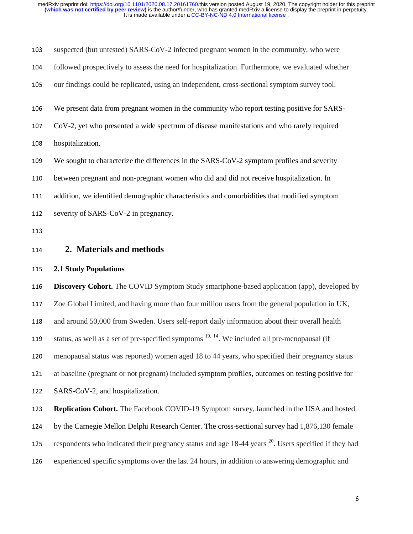| 103 | suspected (but untested) SARS-CoV-2 infected pregnant women in the community, who were                           |
|-----|------------------------------------------------------------------------------------------------------------------|
| 104 | followed prospectively to assess the need for hospitalization. Furthermore, we evaluated whether                 |
| 105 | our findings could be replicated, using an independent, cross-sectional symptom survey tool.                     |
| 106 | We present data from pregnant women in the community who report testing positive for SARS-                       |
| 107 | CoV-2, yet who presented a wide spectrum of disease manifestations and who rarely required                       |
| 108 | hospitalization.                                                                                                 |
| 109 | We sought to characterize the differences in the SARS-CoV-2 symptom profiles and severity                        |
| 110 | between pregnant and non-pregnant women who did and did not receive hospitalization. In                          |
| 111 | addition, we identified demographic characteristics and comorbidities that modified symptom                      |
| 112 | severity of SARS-CoV-2 in pregnancy.                                                                             |
| 113 |                                                                                                                  |
| 114 | 2. Materials and methods                                                                                         |
|     |                                                                                                                  |
| 115 | <b>2.1 Study Populations</b>                                                                                     |
| 116 | <b>Discovery Cohort.</b> The COVID Symptom Study smartphone-based application (app), developed by                |
| 117 | Zoe Global Limited, and having more than four million users from the general population in UK,                   |
| 118 | and around 50,000 from Sweden. Users self-report daily information about their overall health                    |
| 119 | status, as well as a set of pre-specified symptoms <sup>19, 14</sup> . We included all pre-menopausal (if        |
| 120 | menopausal status was reported) women aged 18 to 44 years, who specified their pregnancy status                  |
| 121 | at baseline (pregnant or not pregnant) included symptom profiles, outcomes on testing positive for               |
| 122 | SARS-CoV-2, and hospitalization.                                                                                 |
| 123 | Replication Cohort. The Facebook COVID-19 Symptom survey, launched in the USA and hosted                         |
| 124 | by the Carnegie Mellon Delphi Research Center. The cross-sectional survey had 1,876,130 female                   |
| 125 | respondents who indicated their pregnancy status and age 18-44 years <sup>20</sup> . Users specified if they had |
| 126 | experienced specific symptoms over the last 24 hours, in addition to answering demographic and                   |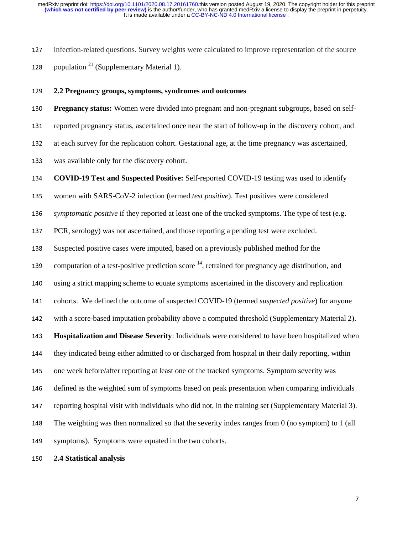<sup>127</sup>infection-related questions. Survey weights were calculated to improve representation of the source 128 population  $21$  (Supplementary Material 1).

#### <sup>129</sup>**2.2 Pregnancy groups, symptoms, syndromes and outcomes**

130 **Pregnancy status:** Women were divided into pregnant and non-pregnant subgroups, based on self-131 reported pregnancy status, ascertained once near the start of follow-up in the discovery cohort, and 132 at each survey for the replication cohort. Gestational age, at the time pregnancy was ascertained, 133 was available only for the discovery cohort.

<sup>134</sup>**COVID-19 Test and Suspected Positive:** Self-reported COVID-19 testing was used to identify

135 women with SARS-CoV-2 infection (termed *test positive*). Test positives were considered

<sup>136</sup>*symptomatic positive* if they reported at least one of the tracked symptoms. The type of test (e.g.

<sup>137</sup>PCR, serology) was not ascertained, and those reporting a pending test were excluded.

138 Suspected positive cases were imputed, based on a previously published method for the

139 computation of a test-positive prediction score  $14$ , retrained for pregnancy age distribution, and

140 using a strict mapping scheme to equate symptoms ascertained in the discovery and replication

<sup>141</sup>cohorts. We defined the outcome of suspected COVID-19 (termed *suspected positive*) for anyone

142 with a score-based imputation probability above a computed threshold (Supplementary Material 2).

<sup>143</sup>**Hospitalization and Disease Severity**: Individuals were considered to have been hospitalized when

<sup>144</sup>they indicated being either admitted to or discharged from hospital in their daily reporting, within

145 one week before/after reporting at least one of the tracked symptoms. Symptom severity was

146 defined as the weighted sum of symptoms based on peak presentation when comparing individuals

147 reporting hospital visit with individuals who did not, in the training set (Supplementary Material 3).

148 The weighting was then normalized so that the severity index ranges from 0 (no symptom) to 1 (all

149 symptoms). Symptoms were equated in the two cohorts.

<sup>150</sup>**2.4 Statistical analysis**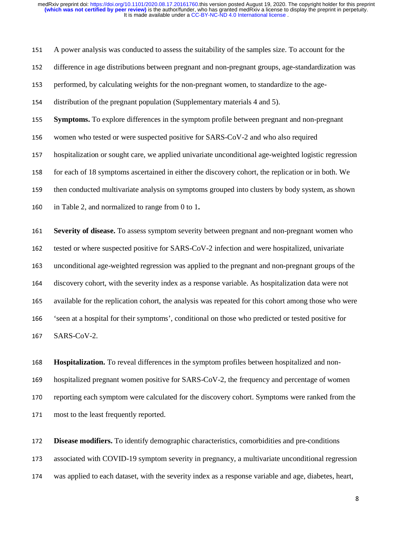<sup>151</sup>A power analysis was conducted to assess the suitability of the samples size. To account for the <sup>152</sup>difference in age distributions between pregnant and non-pregnant groups, age-standardization was 153 performed, by calculating weights for the non-pregnant women, to standardize to the age-154 distribution of the pregnant population (Supplementary materials 4 and 5). <sup>155</sup>**Symptoms.** To explore differences in the symptom profile between pregnant and non-pregnant 156 women who tested or were suspected positive for SARS-CoV-2 and who also required 157 hospitalization or sought care, we applied univariate unconditional age-weighted logistic regression 158 for each of 18 symptoms ascertained in either the discovery cohort, the replication or in both. We 159 then conducted multivariate analysis on symptoms grouped into clusters by body system, as shown 160 in Table 2, and normalized to range from 0 to 1. <sup>161</sup>**Severity of disease.** To assess symptom severity between pregnant and non-pregnant women who 162 tested or where suspected positive for SARS-CoV-2 infection and were hospitalized, univariate <sup>163</sup>unconditional age-weighted regression was applied to the pregnant and non-pregnant groups of the <sup>164</sup>discovery cohort, with the severity index as a response variable. As hospitalization data were not 165 available for the replication cohort, the analysis was repeated for this cohort among those who were <sup>166</sup>'seen at a hospital for their symptoms', conditional on those who predicted or tested positive for 167 SARS-CoV-2.

168 **Hospitalization.** To reveal differences in the symptom profiles between hospitalized and non-169 hospitalized pregnant women positive for SARS-CoV-2, the frequency and percentage of women 170 reporting each symptom were calculated for the discovery cohort. Symptoms were ranked from the 171 most to the least frequently reported.

<sup>172</sup>**Disease modifiers.** To identify demographic characteristics, comorbidities and pre-conditions 173 associated with COVID-19 symptom severity in pregnancy, a multivariate unconditional regression <sup>174</sup>was applied to each dataset, with the severity index as a response variable and age, diabetes, heart,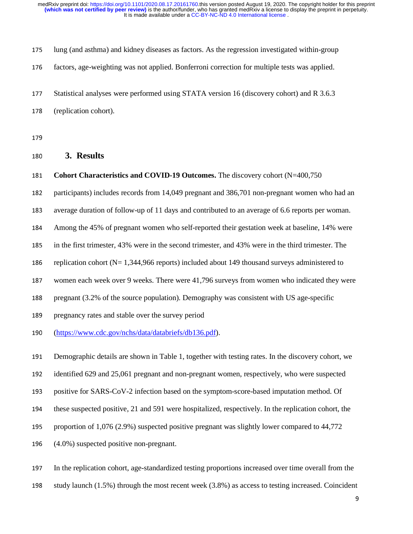| 175 | lung (and asthma) and kidney diseases as factors. As the regression investigated within-group |
|-----|-----------------------------------------------------------------------------------------------|
| 176 | factors, age-weighting was not applied. Bonferroni correction for multiple tests was applied. |
| 177 | Statistical analyses were performed using STATA version 16 (discovery cohort) and R 3.6.3     |
| 178 | (replication cohort).                                                                         |

179

## <sup>180</sup>**3. Results**

<sup>181</sup>**Cohort Characteristics and COVID-19 Outcomes.** The discovery cohort (N=400,750

182 participants) includes records from 14,049 pregnant and 386,701 non-pregnant women who had an

183 average duration of follow-up of 11 days and contributed to an average of 6.6 reports per woman.

<sup>184</sup>Among the 45% of pregnant women who self-reported their gestation week at baseline, 14% were

- <sup>185</sup>in the first trimester, 43% were in the second trimester, and 43% were in the third trimester. The
- 186 replication cohort ( $N= 1,344,966$  reports) included about 149 thousand surveys administered to
- 187 women each week over 9 weeks. There were 41,796 surveys from women who indicated they were
- 188 pregnant (3.2% of the source population). Demography was consistent with US age-specific
- 189 pregnancy rates and stable over the survey period
- <sup>190</sup>(https://www.cdc.gov/nchs/data/databriefs/db136.pdf).
- <sup>191</sup>Demographic details are shown in Table 1, together with testing rates. In the discovery cohort, we

192 identified 629 and 25,061 pregnant and non-pregnant women, respectively, who were suspected

- 193 positive for SARS-CoV-2 infection based on the symptom-score-based imputation method. Of
- 194 these suspected positive, 21 and 591 were hospitalized, respectively. In the replication cohort, the
- 195 proportion of 1,076 (2.9%) suspected positive pregnant was slightly lower compared to 44,772
- <sup>196</sup>(4.0%) suspected positive non-pregnant.
- <sup>197</sup>In the replication cohort, age-standardized testing proportions increased over time overall from the
- 198 study launch (1.5%) through the most recent week (3.8%) as access to testing increased. Coincident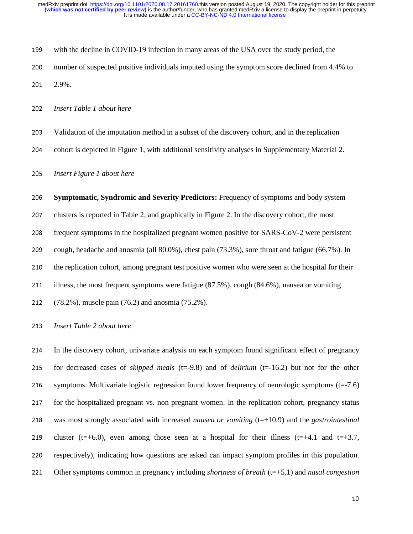| 199 | with the decline in COVID-19 infection in many areas of the USA over the study period, the     |
|-----|------------------------------------------------------------------------------------------------|
| 200 | number of suspected positive individuals imputed using the symptom score declined from 4.4% to |
| 201 | 2.9%                                                                                           |

<sup>202</sup>*Insert Table 1 about here* 

- <sup>203</sup>Validation of the imputation method in a subset of the discovery cohort, and in the replication
- 204 cohort is depicted in Figure 1, with additional sensitivity analyses in Supplementary Material 2.

<sup>205</sup>*Insert Figure 1 about here* 

<sup>206</sup>**Symptomatic, Syndromic and Severity Predictors:** Frequency of symptoms and body system

207 clusters is reported in Table 2, and graphically in Figure 2. In the discovery cohort, the most

208 frequent symptoms in the hospitalized pregnant women positive for SARS-CoV-2 were persistent

209 cough, headache and anosmia (all 80.0%), chest pain (73.3%), sore throat and fatigue (66.7%). In

210 the replication cohort, among pregnant test positive women who were seen at the hospital for their

211 illness, the most frequent symptoms were fatigue (87.5%), cough (84.6%), nausea or vomiting

212 (78.2%), muscle pain (76.2) and anosmia (75.2%).

<sup>213</sup>*Insert Table 2 about here* 

<sup>214</sup>In the discovery cohort, univariate analysis on each symptom found significant effect of pregnancy 215 for decreased cases of *skipped meals* ( $t=-9.8$ ) and of *delirium* ( $t=-16.2$ ) but not for the other 216 symptoms. Multivariate logistic regression found lower frequency of neurologic symptoms (t=-7.6) 217 for the hospitalized pregnant vs. non pregnant women. In the replication cohort, pregnancy status <sup>218</sup>was most strongly associated with increased *nausea or vomiting* (t=+10.9) and the *gastrointestinal* 219 cluster (t=+6.0), even among those seen at a hospital for their illness (t=+4.1 and t=+3.7, 220 respectively), indicating how questions are asked can impact symptom profiles in this population. <sup>221</sup>Other symptoms common in pregnancy including *shortness of breath* (t=+5.1) and *nasal congestion*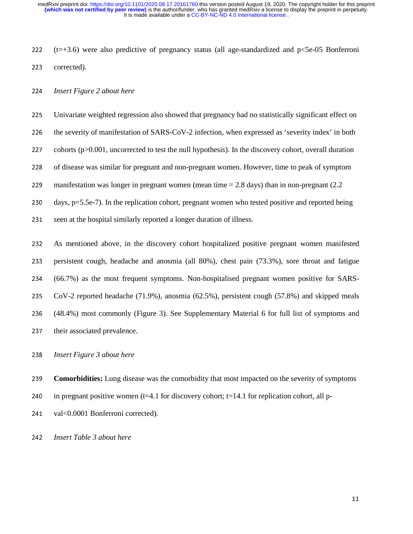It is made available under a [CC-BY-NC-ND 4.0 International license](http://creativecommons.org/licenses/by-nc-nd/4.0/) . **(which was not certified by peer review)** is the author/funder, who has granted medRxiv a license to display the preprint in perpetuity. medRxiv preprint doi: [https://doi.org/10.1101/2020.08.17.20161760.](https://doi.org/10.1101/2020.08.17.20161760)this version posted August 19, 2020. The copyright holder for this preprint

222  $(t=+3.6)$  were also predictive of pregnancy status (all age-standardized and p $<5e-05$  Bonferroni 223 corrected).

### <sup>224</sup>*Insert Figure 2 about here*

225 Univariate weighted regression also showed that pregnancy had no statistically significant effect on

226 the severity of manifestation of SARS-CoV-2 infection, when expressed as 'severity index' in both

227 cohorts  $(p>0.001$ , uncorrected to test the null hypothesis). In the discovery cohort, overall duration

228 of disease was similar for pregnant and non-pregnant women. However, time to peak of symptom

229 manifestation was longer in pregnant women (mean time = 2.8 days) than in non-pregnant (2.2

230 days,  $p=5.5e-7$ ). In the replication cohort, pregnant women who tested positive and reported being

231 seen at the hospital similarly reported a longer duration of illness.

As mentioned above, in the discovery cohort hospitalized positive pregnant women manifested 233 persistent cough, headache and anosmia (all 80%), chest pain (73.3%), sore throat and fatigue (66.7%) as the most frequent symptoms. Non-hospitalised pregnant women positive for SARS-CoV-2 reported headache (71.9%), anosmia (62.5%), persistent cough (57.8%) and skipped meals (48.4%) most commonly (Figure 3). See Supplementary Material 6 for full list of symptoms and 237 their associated prevalence.

<sup>238</sup>*Insert Figure 3 about here* 

<sup>239</sup>**Comorbidities:** Lung disease was the comorbidity that most impacted on the severity of symptoms

240 in pregnant positive women ( $t=4.1$  for discovery cohort;  $t=14.1$  for replication cohort, all p-

241 val<0.0001 Bonferroni corrected).

<sup>242</sup>*Insert Table 3 about here*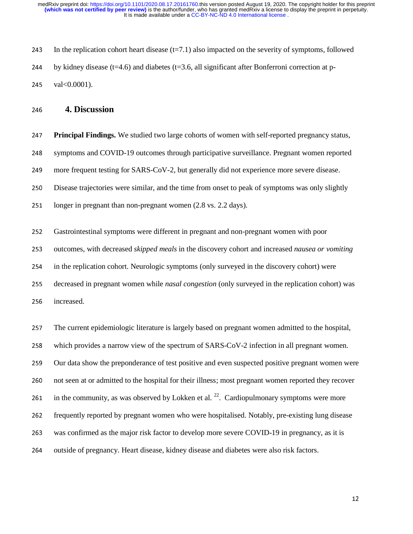243 In the replication cohort heart disease  $(t=7.1)$  also impacted on the severity of symptoms, followed 244 by kidney disease ( $t=4.6$ ) and diabetes ( $t=3.6$ , all significant after Bonferroni correction at p-245 val $< 0.0001$ ).

## <sup>246</sup>**4. Discussion**

<sup>247</sup>**Principal Findings.** We studied two large cohorts of women with self-reported pregnancy status, <sup>248</sup>symptoms and COVID-19 outcomes through participative surveillance. Pregnant women reported 249 more frequent testing for SARS-CoV-2, but generally did not experience more severe disease. 250 Disease trajectories were similar, and the time from onset to peak of symptoms was only slightly 251 longer in pregnant than non-pregnant women (2.8 vs. 2.2 days). <sup>252</sup>Gastrointestinal symptoms were different in pregnant and non-pregnant women with poor 253 outcomes, with decreased *skipped meals* in the discovery cohort and increased *nausea or vomiting* 254 in the replication cohort. Neurologic symptoms (only surveyed in the discovery cohort) were <sup>255</sup>decreased in pregnant women while *nasal congestion* (only surveyed in the replication cohort) was 256 increased. <sup>257</sup>The current epidemiologic literature is largely based on pregnant women admitted to the hospital, 258 which provides a narrow view of the spectrum of SARS-CoV-2 infection in all pregnant women. 259 Our data show the preponderance of test positive and even suspected positive pregnant women were 260 not seen at or admitted to the hospital for their illness; most pregnant women reported they recover 261 in the community, as was observed by Lokken et al.  $^{22}$ . Cardiopulmonary symptoms were more <sup>262</sup>frequently reported by pregnant women who were hospitalised. Notably, pre-existing lung disease 263 was confirmed as the major risk factor to develop more severe COVID-19 in pregnancy, as it is 264 outside of pregnancy. Heart disease, kidney disease and diabetes were also risk factors.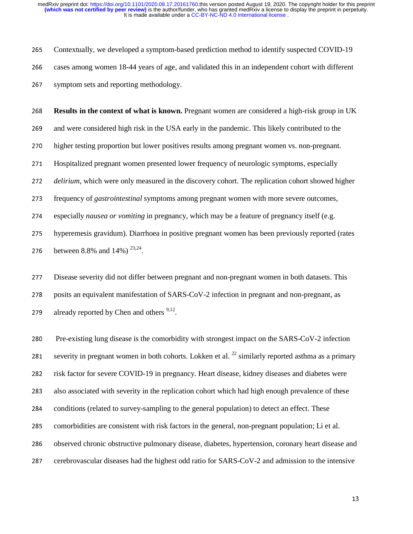265 Contextually, we developed a symptom-based prediction method to identify suspected COVID-19 266 cases among women 18-44 years of age, and validated this in an independent cohort with different 267 symptom sets and reporting methodology.

<sup>268</sup>**Results in the context of what is known.** Pregnant women are considered a high-risk group in UK 269 and were considered high risk in the USA early in the pandemic. This likely contributed to the 270 higher testing proportion but lower positives results among pregnant women vs. non-pregnant. 271 Hospitalized pregnant women presented lower frequency of neurologic symptoms, especially <sup>272</sup>*delirium*, which were only measured in the discovery cohort. The replication cohort showed higher <sup>273</sup>frequency of *gastrointestinal* symptoms among pregnant women with more severe outcomes, <sup>274</sup>especially *nausea or vomiting* in pregnancy, which may be a feature of pregnancy itself (e.g. 275 hyperemesis gravidum). Diarrhoea in positive pregnant women has been previously reported (rates 276 between 8.8% and 14%)  $^{23,24}$ .

<sup>277</sup>Disease severity did not differ between pregnant and non-pregnant women in both datasets. This 278 posits an equivalent manifestation of SARS-CoV-2 infection in pregnant and non-pregnant, as 279 already reported by Chen and others  $9,12$ .

280 Pre-existing lung disease is the comorbidity with strongest impact on the SARS-CoV-2 infection 281 severity in pregnant women in both cohorts. Lokken et al.  $^{22}$  similarly reported asthma as a primary 282 risk factor for severe COVID-19 in pregnancy. Heart disease, kidney diseases and diabetes were 283 also associated with severity in the replication cohort which had high enough prevalence of these 284 conditions (related to survey-sampling to the general population) to detect an effect. These 285 comorbidities are consistent with risk factors in the general, non-pregnant population; Li et al. 286 observed chronic obstructive pulmonary disease, diabetes, hypertension, coronary heart disease and 287 cerebrovascular diseases had the highest odd ratio for SARS-CoV-2 and admission to the intensive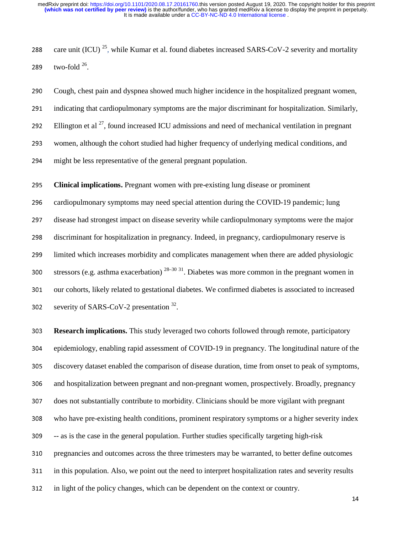288 care unit (ICU)<sup>25</sup>, while Kumar et al. found diabetes increased SARS-CoV-2 severity and mortality 289 two-fold  $26$ .

<sup>290</sup>Cough, chest pain and dyspnea showed much higher incidence in the hospitalized pregnant women, 291 indicating that cardiopulmonary symptoms are the major discriminant for hospitalization. Similarly, 292 Ellington et al  $^{27}$ , found increased ICU admissions and need of mechanical ventilation in pregnant <sup>293</sup>women, although the cohort studied had higher frequency of underlying medical conditions, and 294 might be less representative of the general pregnant population.

<sup>295</sup>**Clinical implications.** Pregnant women with pre-existing lung disease or prominent

296 cardiopulmonary symptoms may need special attention during the COVID-19 pandemic; lung <sup>297</sup>disease had strongest impact on disease severity while cardiopulmonary symptoms were the major 298 discriminant for hospitalization in pregnancy. Indeed, in pregnancy, cardiopulmonary reserve is <sup>299</sup>limited which increases morbidity and complicates management when there are added physiologic stressors (e.g. asthma exacerbation)  $28-30$  31. Diabetes was more common in the pregnant women in 301 our cohorts, likely related to gestational diabetes. We confirmed diabetes is associated to increased 302 severity of SARS-CoV-2 presentation  $32$ .

<sup>303</sup>**Research implications.** This study leveraged two cohorts followed through remote, participatory 304 epidemiology, enabling rapid assessment of COVID-19 in pregnancy. The longitudinal nature of the 305 discovery dataset enabled the comparison of disease duration, time from onset to peak of symptoms, 306 and hospitalization between pregnant and non-pregnant women, prospectively. Broadly, pregnancy 307 does not substantially contribute to morbidity. Clinicians should be more vigilant with pregnant 308 who have pre-existing health conditions, prominent respiratory symptoms or a higher severity index <sup>309</sup>-- as is the case in the general population. Further studies specifically targeting high-risk 310 pregnancies and outcomes across the three trimesters may be warranted, to better define outcomes 311 in this population. Also, we point out the need to interpret hospitalization rates and severity results 312 in light of the policy changes, which can be dependent on the context or country.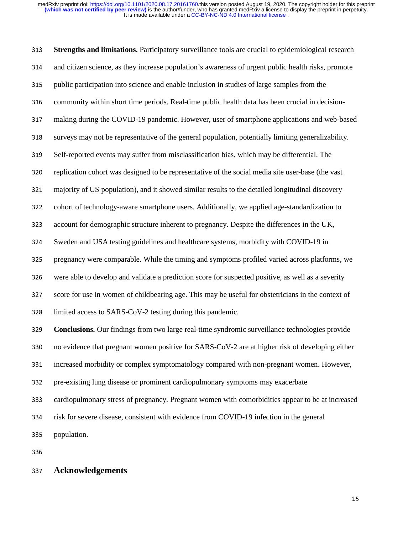<sup>313</sup>**Strengths and limitations.** Participatory surveillance tools are crucial to epidemiological research 314 and citizen science, as they increase population's awareness of urgent public health risks, promote 315 public participation into science and enable inclusion in studies of large samples from the 316 community within short time periods. Real-time public health data has been crucial in decision-317 making during the COVID-19 pandemic. However, user of smartphone applications and web-based 318 surveys may not be representative of the general population, potentially limiting generalizability. <sup>319</sup>Self-reported events may suffer from misclassification bias, which may be differential. The 320 replication cohort was designed to be representative of the social media site user-base (the vast <sup>321</sup>majority of US population), and it showed similar results to the detailed longitudinal discovery 322 cohort of technology-aware smartphone users. Additionally, we applied age-standardization to 323 account for demographic structure inherent to pregnancy. Despite the differences in the UK, <sup>324</sup>Sweden and USA testing guidelines and healthcare systems, morbidity with COVID-19 in 325 pregnancy were comparable. While the timing and symptoms profiled varied across platforms, we 326 were able to develop and validate a prediction score for suspected positive, as well as a severity <sup>327</sup>score for use in women of childbearing age. This may be useful for obstetricians in the context of 328 limited access to SARS-CoV-2 testing during this pandemic. <sup>329</sup>**Conclusions.** Our findings from two large real-time syndromic surveillance technologies provide 330 no evidence that pregnant women positive for SARS-CoV-2 are at higher risk of developing either 331 increased morbidity or complex symptomatology compared with non-pregnant women. However, 332 pre-existing lung disease or prominent cardiopulmonary symptoms may exacerbate <sup>333</sup>cardiopulmonary stress of pregnancy. Pregnant women with comorbidities appear to be at increased 334 risk for severe disease, consistent with evidence from COVID-19 infection in the general 335 population.

336

# <sup>337</sup>**Acknowledgements**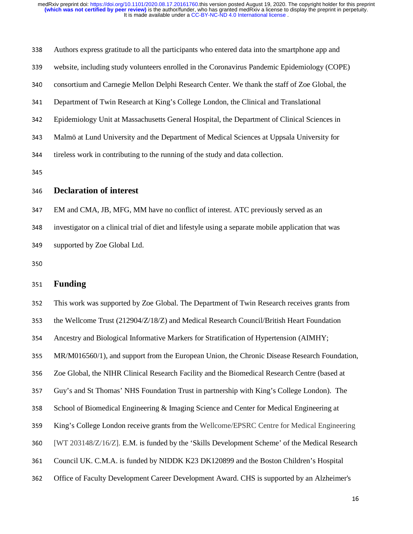| 338 | Authors express gratitude to all the participants who entered data into the smartphone app and      |
|-----|-----------------------------------------------------------------------------------------------------|
| 339 | website, including study volunteers enrolled in the Coronavirus Pandemic Epidemiology (COPE)        |
| 340 | consortium and Carnegie Mellon Delphi Research Center. We thank the staff of Zoe Global, the        |
| 341 | Department of Twin Research at King's College London, the Clinical and Translational                |
| 342 | Epidemiology Unit at Massachusetts General Hospital, the Department of Clinical Sciences in         |
| 343 | Malmö at Lund University and the Department of Medical Sciences at Uppsala University for           |
| 344 | tireless work in contributing to the running of the study and data collection.                      |
| 345 |                                                                                                     |
| 346 | <b>Declaration of interest</b>                                                                      |
| 347 | EM and CMA, JB, MFG, MM have no conflict of interest. ATC previously served as an                   |
| 348 | investigator on a clinical trial of diet and lifestyle using a separate mobile application that was |
|     |                                                                                                     |

350

### <sup>351</sup>**Funding**

349 supported by Zoe Global Ltd.

352 This work was supported by Zoe Global. The Department of Twin Research receives grants from 353 the Wellcome Trust (212904/Z/18/Z) and Medical Research Council/British Heart Foundation <sup>354</sup>Ancestry and Biological Informative Markers for Stratification of Hypertension (AIMHY; <sup>355</sup>MR/M016560/1), and support from the European Union, the Chronic Disease Research Foundation, <sup>356</sup>Zoe Global, the NIHR Clinical Research Facility and the Biomedical Research Centre (based at <sup>357</sup>Guy's and St Thomas' NHS Foundation Trust in partnership with King's College London). The 358 School of Biomedical Engineering & Imaging Science and Center for Medical Engineering at <sup>359</sup>King's College London receive grants from the Wellcome/EPSRC Centre for Medical Engineering <sup>360</sup>[WT 203148/Z/16/Z]. E.M. is funded by the 'Skills Development Scheme' of the Medical Research 361 Council UK. C.M.A. is funded by NIDDK K23 DK120899 and the Boston Children's Hospital 362 Office of Faculty Development Career Development Award. CHS is supported by an Alzheimer's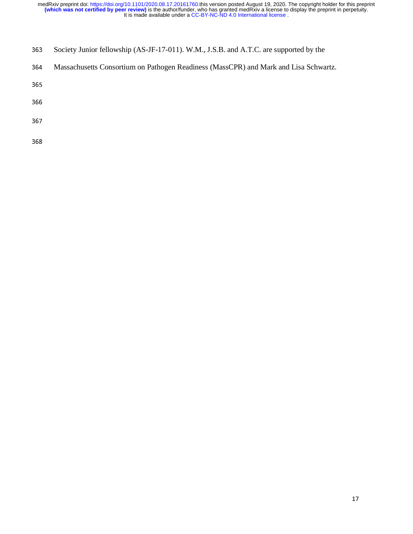- 363 Society Junior fellowship (AS-JF-17-011). W.M., J.S.B. and A.T.C. are supported by the
- 364 Massachusetts Consortium on Pathogen Readiness (MassCPR) and Mark and Lisa Schwartz.

365

366

367

368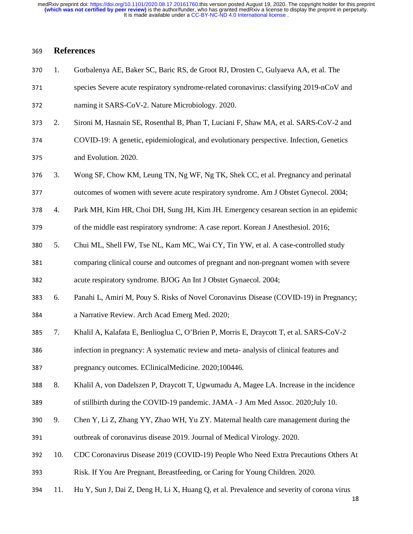It is made available under a [CC-BY-NC-ND 4.0 International license](http://creativecommons.org/licenses/by-nc-nd/4.0/) . **(which was not certified by peer review)** is the author/funder, who has granted medRxiv a license to display the preprint in perpetuity. medRxiv preprint doi: [https://doi.org/10.1101/2020.08.17.20161760.](https://doi.org/10.1101/2020.08.17.20161760)this version posted August 19, 2020. The copyright holder for this preprint

## <sup>369</sup>**References**

- 370 1. Gorbalenya AE, Baker SC, Baric RS, de Groot RJ, Drosten C, Gulyaeva AA, et al. The
- 371 species Severe acute respiratory syndrome-related coronavirus: classifying 2019-nCoV and

372 naming it SARS-CoV-2. Nature Microbiology. 2020.

- <sup>373</sup>2. Sironi M, Hasnain SE, Rosenthal B, Phan T, Luciani F, Shaw MA, et al. SARS-CoV-2 and
- <sup>374</sup>COVID-19: A genetic, epidemiological, and evolutionary perspective. Infection, Genetics 375 and Evolution. 2020.
- 376 3. Wong SF, Chow KM, Leung TN, Ng WF, Ng TK, Shek CC, et al. Pregnancy and perinatal
- 377 outcomes of women with severe acute respiratory syndrome. Am J Obstet Gynecol. 2004;
- <sup>378</sup>4. Park MH, Kim HR, Choi DH, Sung JH, Kim JH. Emergency cesarean section in an epidemic

379 of the middle east respiratory syndrome: A case report. Korean J Anesthesiol. 2016;

- 380 5. Chui ML, Shell FW, Tse NL, Kam MC, Wai CY, Tin YW, et al. A case-controlled study
- 381 comparing clinical course and outcomes of pregnant and non-pregnant women with severe

382 acute respiratory syndrome. BJOG An Int J Obstet Gynaecol. 2004;

- <sup>383</sup>6. Panahi L, Amiri M, Pouy S. Risks of Novel Coronavirus Disease (COVID-19) in Pregnancy; 384 a Narrative Review. Arch Acad Emerg Med. 2020;
- 
- <sup>385</sup>7. Khalil A, Kalafata E, Benlioglua C, O'Brien P, Morris E, Draycott T, et al. SARS-CoV-2
- 386 infection in pregnancy: A systematic review and meta- analysis of clinical features and
- 387 pregnancy outcomes. EClinicalMedicine. 2020;100446.
- <sup>388</sup>8. Khalil A, von Dadelszen P, Draycott T, Ugwumadu A, Magee LA. Increase in the incidence
- 389 of stillbirth during the COVID-19 pandemic. JAMA J Am Med Assoc. 2020;July 10.
- <sup>390</sup>9. Chen Y, Li Z, Zhang YY, Zhao WH, Yu ZY. Maternal health care management during the 391 outbreak of coronavirus disease 2019. Journal of Medical Virology. 2020.
- <sup>392</sup>10. CDC Coronavirus Disease 2019 (COVID-19) People Who Need Extra Precautions Others At
- <sup>393</sup>Risk. If You Are Pregnant, Breastfeeding, or Caring for Young Children. 2020.
- 394 11. Hu Y, Sun J, Dai Z, Deng H, Li X, Huang Q, et al. Prevalence and severity of corona virus 18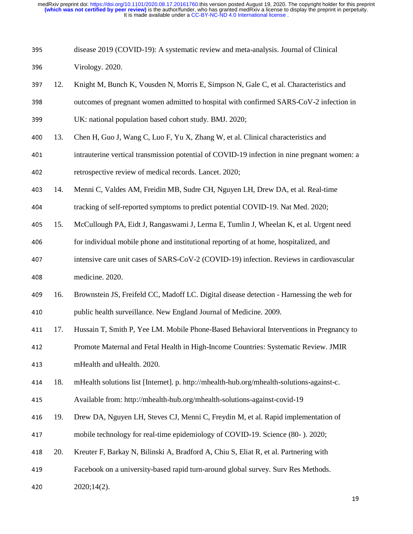It is made available under a [CC-BY-NC-ND 4.0 International license](http://creativecommons.org/licenses/by-nc-nd/4.0/) . **(which was not certified by peer review)** is the author/funder, who has granted medRxiv a license to display the preprint in perpetuity. medRxiv preprint doi: [https://doi.org/10.1101/2020.08.17.20161760.](https://doi.org/10.1101/2020.08.17.20161760)this version posted August 19, 2020. The copyright holder for this preprint

| 395 | disease 2019 (COVID-19): A systematic review and meta-analysis. Journal of Clinical |
|-----|-------------------------------------------------------------------------------------|
|     |                                                                                     |

396 Virology. 2020.

- 397 12. Knight M, Bunch K, Vousden N, Morris E, Simpson N, Gale C, et al. Characteristics and 398 outcomes of pregnant women admitted to hospital with confirmed SARS-CoV-2 infection in 399 UK: national population based cohort study. BMJ. 2020;
- 400 13. Chen H, Guo J, Wang C, Luo F, Yu X, Zhang W, et al. Clinical characteristics and
- <sup>401</sup>intrauterine vertical transmission potential of COVID-19 infection in nine pregnant women: a 402 retrospective review of medical records. Lancet. 2020;
- <sup>403</sup>14. Menni C, Valdes AM, Freidin MB, Sudre CH, Nguyen LH, Drew DA, et al. Real-time
- 404 tracking of self-reported symptoms to predict potential COVID-19. Nat Med. 2020;
- <sup>405</sup>15. McCullough PA, Eidt J, Rangaswami J, Lerma E, Tumlin J, Wheelan K, et al. Urgent need
- 406 for individual mobile phone and institutional reporting of at home, hospitalized, and
- 407 intensive care unit cases of SARS-CoV-2 (COVID-19) infection. Reviews in cardiovascular <sup>408</sup>medicine. 2020.
- 409 16. Brownstein JS, Freifeld CC, Madoff LC. Digital disease detection Harnessing the web for 410 public health surveillance. New England Journal of Medicine. 2009.
- 411 17. Hussain T, Smith P, Yee LM. Mobile Phone-Based Behavioral Interventions in Pregnancy to
- <sup>412</sup>Promote Maternal and Fetal Health in High-Income Countries: Systematic Review. JMIR <sup>413</sup>mHealth and uHealth. 2020.
- <sup>414</sup>18. mHealth solutions list [Internet]. p. http://mhealth-hub.org/mhealth-solutions-against-c.
- <sup>415</sup>Available from: http://mhealth-hub.org/mhealth-solutions-against-covid-19
- 416 19. Drew DA, Nguyen LH, Steves CJ, Menni C, Freydin M, et al. Rapid implementation of <sup>417</sup>mobile technology for real-time epidemiology of COVID-19. Science (80- ). 2020;
- 418 20. Kreuter F, Barkay N, Bilinski A, Bradford A, Chiu S, Eliat R, et al. Partnering with
- <sup>419</sup>Facebook on a university-based rapid turn-around global survey. Surv Res Methods.
- 420  $2020;14(2)$ .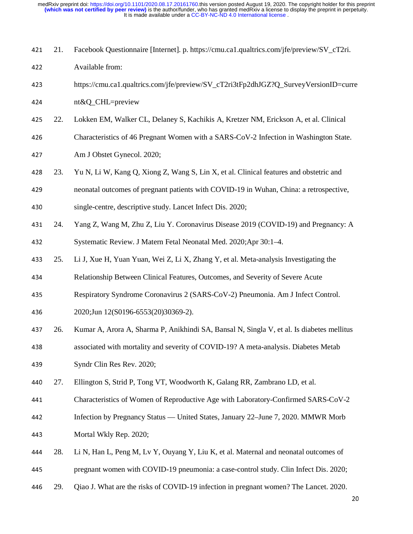| 421 | 21. | Facebook Questionnaire [Internet]. p. https://cmu.ca1.qualtrics.com/jfe/preview/SV_cT2ri. |
|-----|-----|-------------------------------------------------------------------------------------------|
| 422 |     | Available from:                                                                           |
| 423 |     | https://cmu.ca1.qualtrics.com/jfe/preview/SV_cT2ri3tFp2dhJGZ?Q_SurveyVersionID=curre      |
| 424 |     | nt&Q_CHL=preview                                                                          |
| 425 | 22. | Lokken EM, Walker CL, Delaney S, Kachikis A, Kretzer NM, Erickson A, et al. Clinical      |
| 426 |     | Characteristics of 46 Pregnant Women with a SARS-CoV-2 Infection in Washington State.     |
| 427 |     | Am J Obstet Gynecol. 2020;                                                                |
| 428 | 23. | Yu N, Li W, Kang Q, Xiong Z, Wang S, Lin X, et al. Clinical features and obstetric and    |
| 429 |     | neonatal outcomes of pregnant patients with COVID-19 in Wuhan, China: a retrospective,    |
| 430 |     | single-centre, descriptive study. Lancet Infect Dis. 2020;                                |
| 431 | 24. | Yang Z, Wang M, Zhu Z, Liu Y. Coronavirus Disease 2019 (COVID-19) and Pregnancy: A        |
| 432 |     | Systematic Review. J Matern Fetal Neonatal Med. 2020; Apr 30:1-4.                         |
| 433 | 25. | Li J, Xue H, Yuan Yuan, Wei Z, Li X, Zhang Y, et al. Meta-analysis Investigating the      |
| 434 |     | Relationship Between Clinical Features, Outcomes, and Severity of Severe Acute            |
| 435 |     | Respiratory Syndrome Coronavirus 2 (SARS-CoV-2) Pneumonia. Am J Infect Control.           |
| 436 |     | 2020;Jun 12(S0196-6553(20)30369-2).                                                       |
| 437 | 26. | Kumar A, Arora A, Sharma P, Anikhindi SA, Bansal N, Singla V, et al. Is diabetes mellitus |
| 438 |     | associated with mortality and severity of COVID-19? A meta-analysis. Diabetes Metab       |
| 439 |     | Syndr Clin Res Rev. 2020;                                                                 |
| 440 | 27. | Ellington S, Strid P, Tong VT, Woodworth K, Galang RR, Zambrano LD, et al.                |
| 441 |     | Characteristics of Women of Reproductive Age with Laboratory-Confirmed SARS-CoV-2         |
| 442 |     | Infection by Pregnancy Status — United States, January 22–June 7, 2020. MMWR Morb         |
| 443 |     | Mortal Wkly Rep. 2020;                                                                    |
| 444 | 28. | Li N, Han L, Peng M, Lv Y, Ouyang Y, Liu K, et al. Maternal and neonatal outcomes of      |
| 445 |     | pregnant women with COVID-19 pneumonia: a case-control study. Clin Infect Dis. 2020;      |
| 446 | 29. | Qiao J. What are the risks of COVID-19 infection in pregnant women? The Lancet. 2020.     |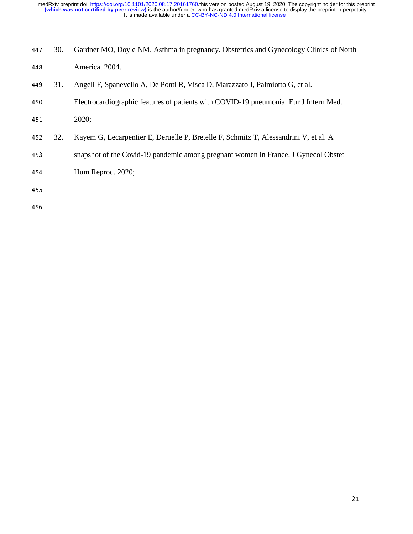| 447 | 30. | Gardner MO, Doyle NM. Asthma in pregnancy. Obstetrics and Gynecology Clinics of North |
|-----|-----|---------------------------------------------------------------------------------------|
| 448 |     | America. 2004.                                                                        |
| 449 | 31. | Angeli F, Spanevello A, De Ponti R, Visca D, Marazzato J, Palmiotto G, et al.         |
| 450 |     | Electrocardiographic features of patients with COVID-19 pneumonia. Eur J Intern Med.  |
| 451 |     | 2020;                                                                                 |
| 452 | 32. | Kayem G, Lecarpentier E, Deruelle P, Bretelle F, Schmitz T, Alessandrini V, et al. A  |
| 453 |     | snapshot of the Covid-19 pandemic among pregnant women in France. J Gynecol Obstet    |
| 454 |     | Hum Reprod. 2020;                                                                     |
| 455 |     |                                                                                       |
|     |     |                                                                                       |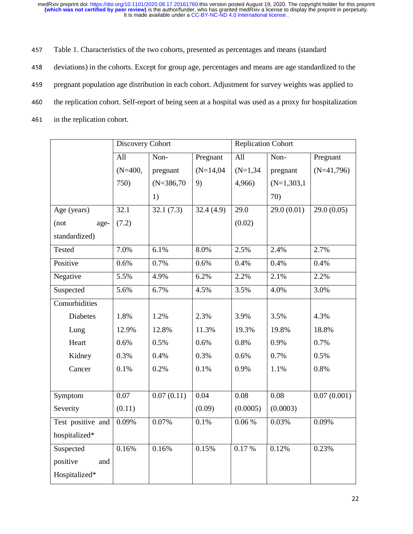457 Table 1. Characteristics of the two cohorts, presented as percentages and means (standard

458 deviations) in the cohorts. Except for group age, percentages and means are age standardized to the

459 pregnant population age distribution in each cohort. Adjustment for survey weights was applied to

- 460 the replication cohort. Self-report of being seen at a hospital was used as a proxy for hospitalization
- 461 in the replication cohort.

|                   | Discovery Cohort |              |             | <b>Replication Cohort</b> |               |              |  |
|-------------------|------------------|--------------|-------------|---------------------------|---------------|--------------|--|
|                   | All              | Non-         | Pregnant    | All                       | Non-          | Pregnant     |  |
|                   | $(N=400,$        | pregnant     | $(N=14,04)$ | $(N=1,34)$                | pregnant      | $(N=41,796)$ |  |
|                   | 750)             | $(N=386,70)$ | 9)          | 4,966)                    | $(N=1,303,1)$ |              |  |
|                   |                  | 1)           |             |                           | 70)           |              |  |
| Age (years)       | 32.1             | 32.1(7.3)    | 32.4(4.9)   | 29.0                      | 29.0(0.01)    | 29.0(0.05)   |  |
| (not<br>age-      | (7.2)            |              |             | (0.02)                    |               |              |  |
| standardized)     |                  |              |             |                           |               |              |  |
| Tested            | 7.0%             | 6.1%         | 8.0%        | 2.5%                      | 2.4%          | 2.7%         |  |
| Positive          | 0.6%             | 0.7%         | 0.6%        | 0.4%                      | 0.4%          | 0.4%         |  |
| Negative          | 5.5%             | 4.9%         | 6.2%        | 2.2%                      | 2.1%          | 2.2%         |  |
| Suspected         | 5.6%             | 6.7%         | 4.5%        | 3.5%                      | 4.0%          | 3.0%         |  |
| Comorbidities     |                  |              |             |                           |               |              |  |
| <b>Diabetes</b>   | 1.8%             | 1.2%         | 2.3%        | 3.9%                      | 3.5%          | 4.3%         |  |
| Lung              | 12.9%            | 12.8%        | 11.3%       | 19.3%                     | 19.8%         | 18.8%        |  |
| Heart             | 0.6%             | 0.5%         | 0.6%        | 0.8%                      | 0.9%          | 0.7%         |  |
| Kidney            | 0.3%             | 0.4%         | 0.3%        | 0.6%                      | 0.7%          | 0.5%         |  |
| Cancer            | 0.1%             | 0.2%         | 0.1%        | 0.9%                      | 1.1%          | 0.8%         |  |
|                   |                  |              |             |                           |               |              |  |
| Symptom           | 0.07             | 0.07(0.11)   | 0.04        | 0.08                      | 0.08          | 0.07(0.001)  |  |
| Severity          | (0.11)           |              | (0.09)      | (0.0005)                  | (0.0003)      |              |  |
| Test positive and | 0.09%            | 0.07%        | 0.1%        | $0.06\,\%$                | 0.03%         | 0.09%        |  |
| hospitalized*     |                  |              |             |                           |               |              |  |
| Suspected         | 0.16%            | 0.16%        | 0.15%       | 0.17%                     | 0.12%         | 0.23%        |  |
| positive<br>and   |                  |              |             |                           |               |              |  |
| Hospitalized*     |                  |              |             |                           |               |              |  |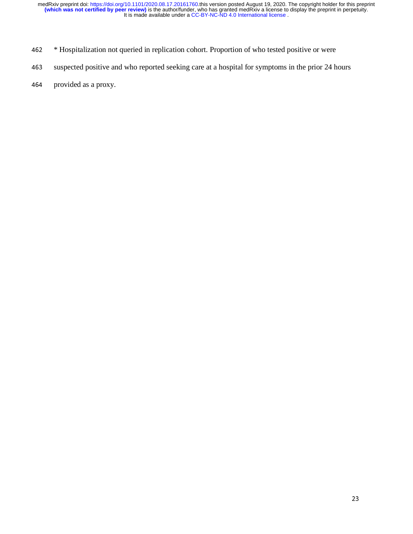- <sup>462</sup> \* Hospitalization not queried in replication cohort. Proportion of who tested positive or were
- 463 suspected positive and who reported seeking care at a hospital for symptoms in the prior 24 hours
- 464 provided as a proxy.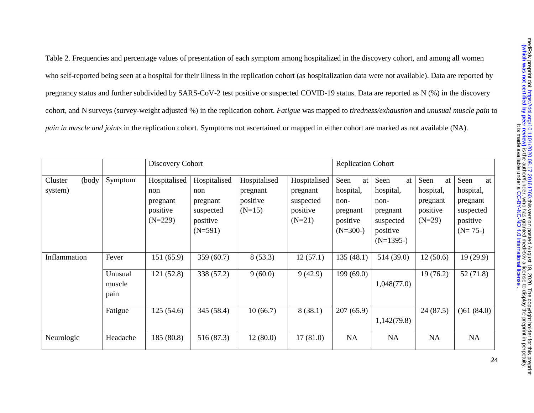Table 2. Frequencies and percentage values of presentation of each symptom among hospitalized in the discovery cohort, and among all women who self-reported being seen at a hospital for their illness in the replication cohort (as hospitalization data were not available). Data are reported by pregnancy status and further subdivided by SARS-CoV-2 test positive or suspected COVID-19 status. Data are reported as N (%) in the discovery cohort, and N surveys (survey-weight adjusted %) in the replication cohort. *Fatigue* was mapped to *tiredness/exhaustion* and *unusual muscle pain* to *pain in muscle and joints* in the replication cohort. Symptoms not ascertained or mapped in either cohort are marked as not available (NA).

|                             |                           | Discovery Cohort                                         |                                                                       |                                                  |                                                               | <b>Replication Cohort</b>                                             |                                                                                     |                                                             |                                                                           |
|-----------------------------|---------------------------|----------------------------------------------------------|-----------------------------------------------------------------------|--------------------------------------------------|---------------------------------------------------------------|-----------------------------------------------------------------------|-------------------------------------------------------------------------------------|-------------------------------------------------------------|---------------------------------------------------------------------------|
| (body<br>Cluster<br>system) | Symptom                   | Hospitalised<br>non<br>pregnant<br>positive<br>$(N=229)$ | Hospitalised<br>non<br>pregnant<br>suspected<br>positive<br>$(N=591)$ | Hospitalised<br>pregnant<br>positive<br>$(N=15)$ | Hospitalised<br>pregnant<br>suspected<br>positive<br>$(N=21)$ | Seen<br>at<br>hospital,<br>non-<br>pregnant<br>positive<br>$(N=300-)$ | Seen<br>at<br>hospital,<br>non-<br>pregnant<br>suspected<br>positive<br>$(N=1395-)$ | Seen<br>at<br>hospital,<br>pregnant<br>positive<br>$(N=29)$ | Seen<br>at<br>hospital,<br>pregnant<br>suspected<br>positive<br>$(N=75-)$ |
| Inflammation                | Fever                     | 151(65.9)                                                | 359 (60.7)                                                            | 8(53.3)                                          | 12(57.1)                                                      | 135(48.1)                                                             | 514 (39.0)                                                                          | 12(50.6)                                                    | 19(29.9)                                                                  |
|                             | Unusual<br>muscle<br>pain | 121(52.8)                                                | 338 (57.2)                                                            | 9(60.0)                                          | 9(42.9)                                                       | 199(69.0)                                                             | 1,048(77.0)                                                                         | 19(76.2)                                                    | 52(71.8)                                                                  |
|                             | Fatigue                   | 125(54.6)                                                | 345 (58.4)                                                            | 10(66.7)                                         | 8(38.1)                                                       | 207(65.9)                                                             | 1,142(79.8)                                                                         | 24(87.5)                                                    | ( )61 (84.0)                                                              |
| Neurologic                  | Headache                  | 185(80.8)                                                | 516 (87.3)                                                            | 12(80.0)                                         | 17(81.0)                                                      | NA                                                                    | <b>NA</b>                                                                           | <b>NA</b>                                                   | NA                                                                        |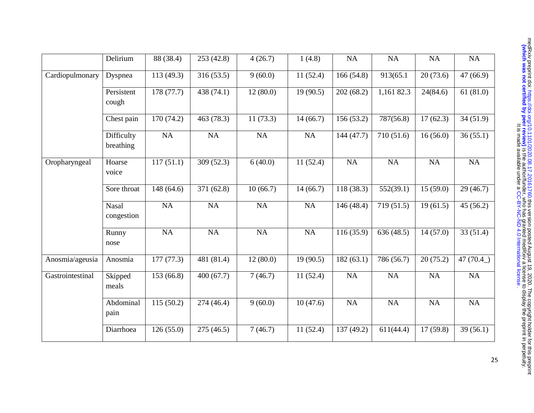|                  | Delirium                   | 88 (38.4)  | 253 (42.8) | 4(26.7)   | 1(4.8)    | NA         | <b>NA</b>  | <b>NA</b> | NA          |
|------------------|----------------------------|------------|------------|-----------|-----------|------------|------------|-----------|-------------|
| Cardiopulmonary  | Dyspnea                    | 113(49.3)  | 316(53.5)  | 9(60.0)   | 11(52.4)  | 166(54.8)  | 913(65.1   | 20(73.6)  | 47(66.9)    |
|                  | Persistent<br>cough        | 178(77.7)  | 438 (74.1) | 12(80.0)  | 19(90.5)  | 202(68.2)  | 1,161 82.3 | 24(84.6)  | 61(81.0)    |
|                  | Chest pain                 | 170 (74.2) | 463 (78.3) | 11(73.3)  | 14(66.7)  | 156 (53.2) | 787(56.8)  | 17(62.3)  | 34(51.9)    |
|                  | Difficulty<br>breathing    | <b>NA</b>  | NA         | <b>NA</b> | <b>NA</b> | 144(47.7)  | 710 (51.6) | 16(56.0)  | 36(55.1)    |
| Oropharyngeal    | Hoarse<br>voice            | 117(51.1)  | 309 (52.3) | 6(40.0)   | 11(52.4)  | NA         | NA         | <b>NA</b> | NA          |
|                  | Sore throat                | 148(64.6)  | 371 (62.8) | 10(66.7)  | 14(66.7)  | 118 (38.3) | 552(39.1)  | 15(59.0)  | 29(46.7)    |
|                  | <b>Nasal</b><br>congestion | <b>NA</b>  | <b>NA</b>  | <b>NA</b> | <b>NA</b> | 146 (48.4) | 719 (51.5) | 19(61.5)  | 45(56.2)    |
|                  | Runny<br>nose              | <b>NA</b>  | <b>NA</b>  | NA        | NA        | 116(35.9)  | 636 (48.5) | 14(57.0)  | 33(51.4)    |
| Anosmia/ageusia  | Anosmia                    | 177(77.3)  | 481 (81.4) | 12(80.0)  | 19(90.5)  | 182(63.1)  | 786 (56.7) | 20(75.2)  | 47 $(70.4)$ |
| Gastrointestinal | Skipped<br>meals           | 153(66.8)  | 400(67.7)  | 7(46.7)   | 11(52.4)  | NA         | NA         | NA        | NA          |
|                  | Abdominal<br>pain          | 115(50.2)  | 274 (46.4) | 9(60.0)   | 10(47.6)  | NA         | NA         | NA        | NA          |
|                  | Diarrhoea                  | 126(55.0)  | 275 (46.5) | 7(46.7)   | 11(52.4)  | 137 (49.2) | 611(44.4)  | 17(59.8)  | 39(56.1)    |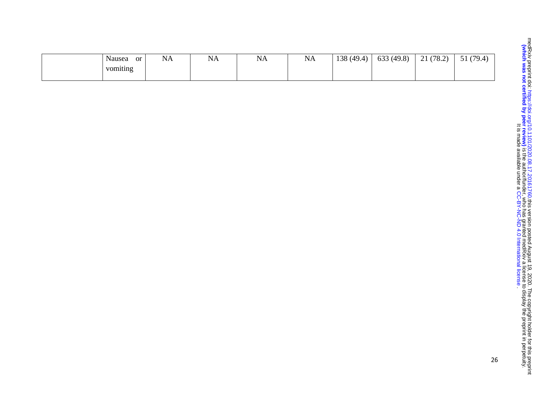| or<br>Nausea | $\mathbf{N}$<br>.<br>the contract of the contract of | <b>AT</b><br>NA | $\mathbf{r}$<br>NΑ<br>the contract of the contract of | <b>NA</b><br>the contract of the contract of | 138 (49 $\Delta$<br>__ | (49.8)<br>633 | (78.2)<br>$\mathbf{\Omega}$<br>- 1 | (79.4)<br>ັ້ |
|--------------|------------------------------------------------------|-----------------|-------------------------------------------------------|----------------------------------------------|------------------------|---------------|------------------------------------|--------------|
| vomiting     |                                                      |                 |                                                       |                                              |                        |               |                                    |              |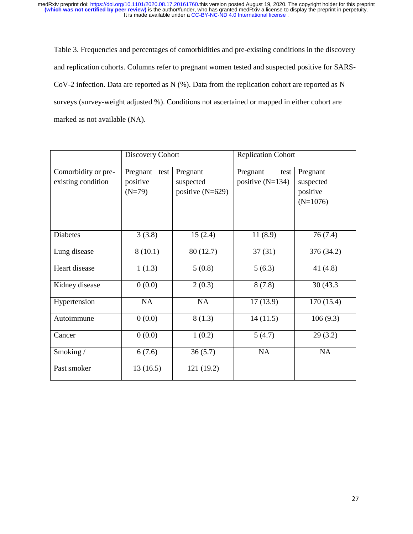Table 3. Frequencies and percentages of comorbidities and pre-existing conditions in the discovery and replication cohorts. Columns refer to pregnant women tested and suspected positive for SARS-CoV-2 infection. Data are reported as N (%). Data from the replication cohort are reported as N surveys (survey-weight adjusted %). Conditions not ascertained or mapped in either cohort are marked as not available (NA).

|                                           | Discovery Cohort                         |                                             | <b>Replication Cohort</b>              |                                                 |  |  |
|-------------------------------------------|------------------------------------------|---------------------------------------------|----------------------------------------|-------------------------------------------------|--|--|
| Comorbidity or pre-<br>existing condition | Pregnant<br>test<br>positive<br>$(N=79)$ | Pregnant<br>suspected<br>positive $(N=629)$ | Pregnant<br>test<br>positive $(N=134)$ | Pregnant<br>suspected<br>positive<br>$(N=1076)$ |  |  |
| <b>Diabetes</b>                           | 3(3.8)                                   | 15(2.4)                                     | 11(8.9)                                | 76(7.4)                                         |  |  |
| Lung disease                              | 8(10.1)                                  | 80 (12.7)                                   | 37(31)                                 | 376 (34.2)                                      |  |  |
| Heart disease                             | 1(1.3)                                   | 5(0.8)                                      | 5(6.3)                                 | 41 $(4.8)$                                      |  |  |
| Kidney disease                            | 0(0.0)                                   | 2(0.3)                                      | 8(7.8)                                 | 30 (43.3)                                       |  |  |
| Hypertension                              | <b>NA</b>                                | <b>NA</b>                                   | 17(13.9)                               | 170 (15.4)                                      |  |  |
| Autoimmune                                | 0(0.0)                                   | 8(1.3)                                      | 14(11.5)                               | 106(9.3)                                        |  |  |
| Cancer                                    | 0(0.0)                                   | 1(0.2)                                      | 5(4.7)                                 | 29(3.2)                                         |  |  |
| Smoking/                                  | 6(7.6)                                   | 36(5.7)                                     | <b>NA</b>                              | NA                                              |  |  |
| Past smoker                               | 13(16.5)                                 | 121 (19.2)                                  |                                        |                                                 |  |  |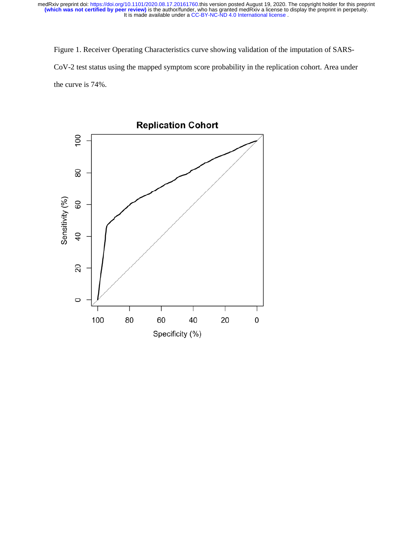medRxiv preprint doi: [https://doi.org/10.1101/2020.08.17.20161760.](https://doi.org/10.1101/2020.08.17.20161760)this version posted August 19, 2020. The copyright holder for this preprint<br>(**which was not certified by peer review)** is the author/funder, who has granted

Figure 1. Receiver Operating Characteristics curve showing validation of the imputation of SARS-It is made available under a [CC-BY-NC-ND 4.0 International license](http://creativecommons.org/licenses/by-nc-nd/4.0/) .<br>
Figure 1. Receiver Operating Characteristics curve showing validation of the imputation of SARS-CoV-2 test status using the mapped symptom score probabi the curve is 74%.

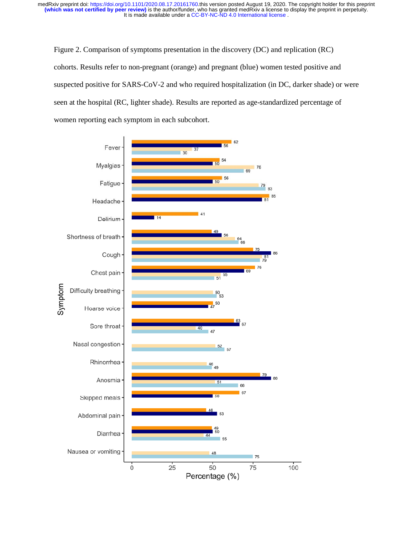Figure 2. Comparison of symptoms presentation in the discovery (DC) and replication (RC) cohorts. Results refer to non-pregnant (orange) and pregnant (blue) women tested positive and suspected positive for SARS-CoV-2 and who required hospitalization (in DC, darker shade) or were seen at the hospital (RC, lighter shade). Results are reported as age-standardized percentage of women reporting each symptom in each subcohort.